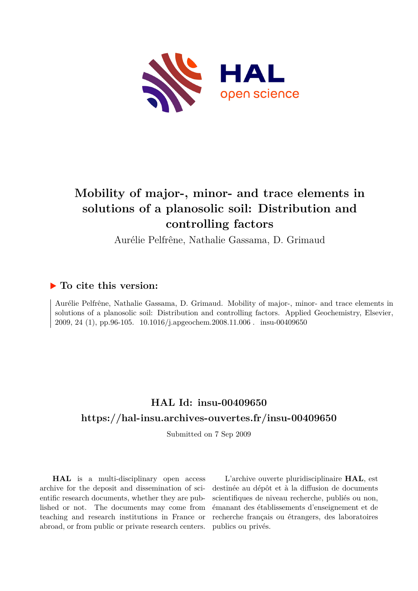

# **Mobility of major-, minor- and trace elements in solutions of a planosolic soil: Distribution and controlling factors**

Aurélie Pelfrêne, Nathalie Gassama, D. Grimaud

## **To cite this version:**

Aurélie Pelfrêne, Nathalie Gassama, D. Grimaud. Mobility of major-, minor- and trace elements in solutions of a planosolic soil: Distribution and controlling factors. Applied Geochemistry, Elsevier, 2009, 24 (1), pp.96-105. 10.1016/j.apgeochem.2008.11.006. insu-00409650

# **HAL Id: insu-00409650 <https://hal-insu.archives-ouvertes.fr/insu-00409650>**

Submitted on 7 Sep 2009

**HAL** is a multi-disciplinary open access archive for the deposit and dissemination of scientific research documents, whether they are published or not. The documents may come from teaching and research institutions in France or abroad, or from public or private research centers.

L'archive ouverte pluridisciplinaire **HAL**, est destinée au dépôt et à la diffusion de documents scientifiques de niveau recherche, publiés ou non, émanant des établissements d'enseignement et de recherche français ou étrangers, des laboratoires publics ou privés.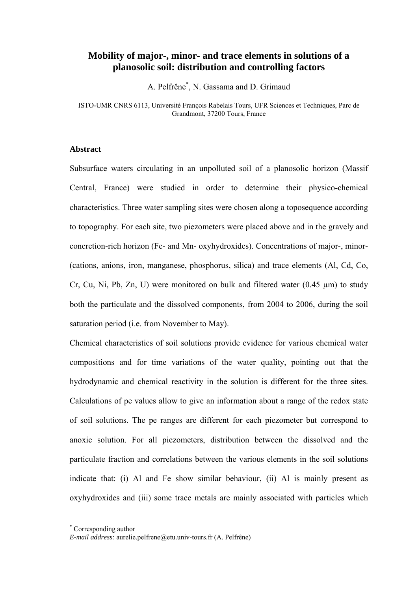### **Mobility of major-, minor- and trace elements in solutions of a planosolic soil: distribution and controlling factors**

A. Pelfrêne\* , N. Gassama and D. Grimaud

ISTO-UMR CNRS 6113, Université François Rabelais Tours, UFR Sciences et Techniques, Parc de Grandmont, 37200 Tours, France

#### **Abstract**

Subsurface waters circulating in an unpolluted soil of a planosolic horizon (Massif Central, France) were studied in order to determine their physico-chemical characteristics. Three water sampling sites were chosen along a toposequence according to topography. For each site, two piezometers were placed above and in the gravely and concretion-rich horizon (Fe- and Mn- oxyhydroxides). Concentrations of major-, minor- (cations, anions, iron, manganese, phosphorus, silica) and trace elements (Al, Cd, Co, Cr, Cu, Ni, Pb, Zn, U) were monitored on bulk and filtered water  $(0.45 \mu m)$  to study both the particulate and the dissolved components, from 2004 to 2006, during the soil saturation period (i.e. from November to May).

Chemical characteristics of soil solutions provide evidence for various chemical water compositions and for time variations of the water quality, pointing out that the hydrodynamic and chemical reactivity in the solution is different for the three sites. Calculations of pe values allow to give an information about a range of the redox state of soil solutions. The pe ranges are different for each piezometer but correspond to anoxic solution. For all piezometers, distribution between the dissolved and the particulate fraction and correlations between the various elements in the soil solutions indicate that: (i) Al and Fe show similar behaviour, (ii) Al is mainly present as oxyhydroxides and (iii) some trace metals are mainly associated with particles which

 $\overline{a}$ 

<sup>\*</sup> Corresponding author

*E-mail address:* aurelie.pelfrene@etu.univ-tours.fr (A. Pelfrêne)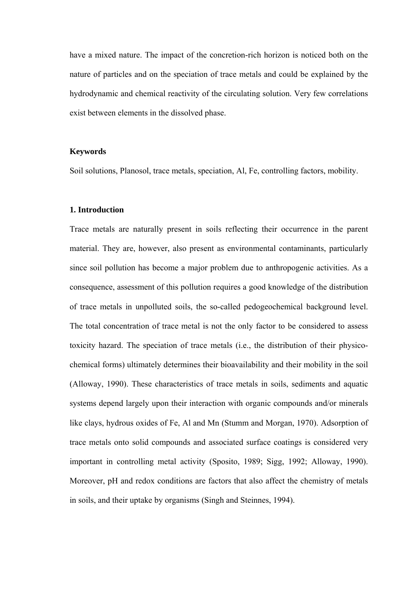have a mixed nature. The impact of the concretion-rich horizon is noticed both on the nature of particles and on the speciation of trace metals and could be explained by the hydrodynamic and chemical reactivity of the circulating solution. Very few correlations exist between elements in the dissolved phase.

#### **Keywords**

Soil solutions, Planosol, trace metals, speciation, Al, Fe, controlling factors, mobility.

#### **1. Introduction**

Trace metals are naturally present in soils reflecting their occurrence in the parent material. They are, however, also present as environmental contaminants, particularly since soil pollution has become a major problem due to anthropogenic activities. As a consequence, assessment of this pollution requires a good knowledge of the distribution of trace metals in unpolluted soils, the so-called pedogeochemical background level. The total concentration of trace metal is not the only factor to be considered to assess toxicity hazard. The speciation of trace metals (i.e., the distribution of their physicochemical forms) ultimately determines their bioavailability and their mobility in the soil (Alloway, 1990). These characteristics of trace metals in soils, sediments and aquatic systems depend largely upon their interaction with organic compounds and/or minerals like clays, hydrous oxides of Fe, Al and Mn (Stumm and Morgan, 1970). Adsorption of trace metals onto solid compounds and associated surface coatings is considered very important in controlling metal activity (Sposito, 1989; Sigg, 1992; Alloway, 1990). Moreover, pH and redox conditions are factors that also affect the chemistry of metals in soils, and their uptake by organisms (Singh and Steinnes, 1994).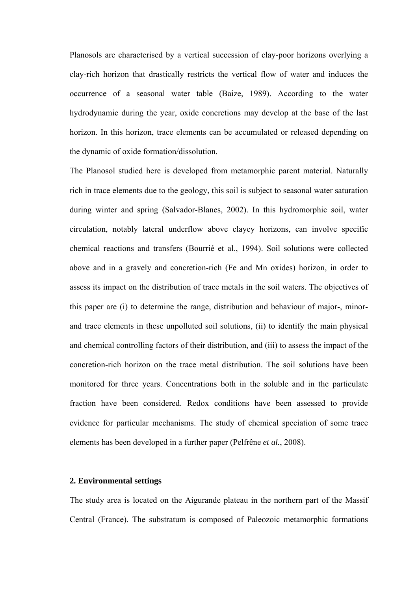Planosols are characterised by a vertical succession of clay-poor horizons overlying a clay-rich horizon that drastically restricts the vertical flow of water and induces the occurrence of a seasonal water table (Baize, 1989). According to the water hydrodynamic during the year, oxide concretions may develop at the base of the last horizon. In this horizon, trace elements can be accumulated or released depending on the dynamic of oxide formation/dissolution.

The Planosol studied here is developed from metamorphic parent material. Naturally rich in trace elements due to the geology, this soil is subject to seasonal water saturation during winter and spring (Salvador-Blanes, 2002). In this hydromorphic soil, water circulation, notably lateral underflow above clayey horizons, can involve specific chemical reactions and transfers (Bourrié et al., 1994). Soil solutions were collected above and in a gravely and concretion-rich (Fe and Mn oxides) horizon, in order to assess its impact on the distribution of trace metals in the soil waters. The objectives of this paper are (i) to determine the range, distribution and behaviour of major-, minorand trace elements in these unpolluted soil solutions, (ii) to identify the main physical and chemical controlling factors of their distribution, and (iii) to assess the impact of the concretion-rich horizon on the trace metal distribution. The soil solutions have been monitored for three years. Concentrations both in the soluble and in the particulate fraction have been considered. Redox conditions have been assessed to provide evidence for particular mechanisms. The study of chemical speciation of some trace elements has been developed in a further paper (Pelfrêne *et al.*, 2008).

#### **2. Environmental settings**

The study area is located on the Aigurande plateau in the northern part of the Massif Central (France). The substratum is composed of Paleozoic metamorphic formations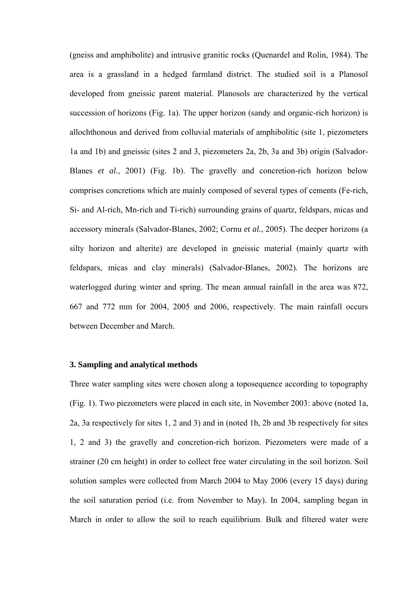(gneiss and amphibolite) and intrusive granitic rocks (Quenardel and Rolin, 1984). The area is a grassland in a hedged farmland district. The studied soil is a Planosol developed from gneissic parent material. Planosols are characterized by the vertical succession of horizons (Fig. 1a). The upper horizon (sandy and organic-rich horizon) is allochthonous and derived from colluvial materials of amphibolitic (site 1, piezometers 1a and 1b) and gneissic (sites 2 and 3, piezometers 2a, 2b, 3a and 3b) origin (Salvador-Blanes *et al.*, 2001) (Fig. 1b). The gravelly and concretion-rich horizon below comprises concretions which are mainly composed of several types of cements (Fe-rich, Si- and Al-rich, Mn-rich and Ti-rich) surrounding grains of quartz, feldspars, micas and accessory minerals (Salvador-Blanes, 2002; Cornu *et al.*, 2005). The deeper horizons (a silty horizon and alterite) are developed in gneissic material (mainly quartz with feldspars, micas and clay minerals) (Salvador-Blanes, 2002). The horizons are waterlogged during winter and spring. The mean annual rainfall in the area was 872, 667 and 772 mm for 2004, 2005 and 2006, respectively. The main rainfall occurs between December and March.

#### **3. Sampling and analytical methods**

Three water sampling sites were chosen along a toposequence according to topography (Fig. 1). Two piezometers were placed in each site, in November 2003: above (noted 1a, 2a, 3a respectively for sites 1, 2 and 3) and in (noted 1b, 2b and 3b respectively for sites 1, 2 and 3) the gravelly and concretion-rich horizon. Piezometers were made of a strainer (20 cm height) in order to collect free water circulating in the soil horizon. Soil solution samples were collected from March 2004 to May 2006 (every 15 days) during the soil saturation period (i.e. from November to May). In 2004, sampling began in March in order to allow the soil to reach equilibrium. Bulk and filtered water were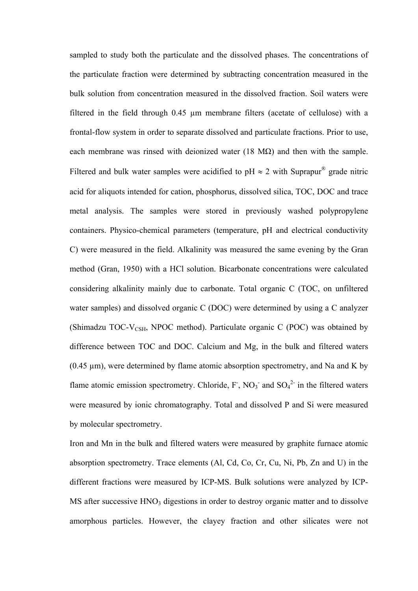sampled to study both the particulate and the dissolved phases. The concentrations of the particulate fraction were determined by subtracting concentration measured in the bulk solution from concentration measured in the dissolved fraction. Soil waters were filtered in the field through 0.45 µm membrane filters (acetate of cellulose) with a frontal-flow system in order to separate dissolved and particulate fractions. Prior to use, each membrane was rinsed with deionized water (18 M $\Omega$ ) and then with the sample. Filtered and bulk water samples were acidified to pH  $\approx$  2 with Suprapur<sup>®</sup> grade nitric acid for aliquots intended for cation, phosphorus, dissolved silica, TOC, DOC and trace metal analysis. The samples were stored in previously washed polypropylene containers. Physico-chemical parameters (temperature, pH and electrical conductivity C) were measured in the field. Alkalinity was measured the same evening by the Gran method (Gran, 1950) with a HCl solution. Bicarbonate concentrations were calculated considering alkalinity mainly due to carbonate. Total organic C (TOC, on unfiltered water samples) and dissolved organic C (DOC) were determined by using a C analyzer (Shimadzu TOC-V<sub>CSH</sub>, NPOC method). Particulate organic C (POC) was obtained by difference between TOC and DOC. Calcium and Mg, in the bulk and filtered waters (0.45 µm), were determined by flame atomic absorption spectrometry, and Na and K by flame atomic emission spectrometry. Chloride,  $F$ , NO<sub>3</sub> and SO<sub>4</sub><sup>2</sup> in the filtered waters were measured by ionic chromatography. Total and dissolved P and Si were measured by molecular spectrometry.

Iron and Mn in the bulk and filtered waters were measured by graphite furnace atomic absorption spectrometry. Trace elements (Al, Cd, Co, Cr, Cu, Ni, Pb, Zn and U) in the different fractions were measured by ICP-MS. Bulk solutions were analyzed by ICP- $MS$  after successive  $HNO<sub>3</sub>$  digestions in order to destroy organic matter and to dissolve amorphous particles. However, the clayey fraction and other silicates were not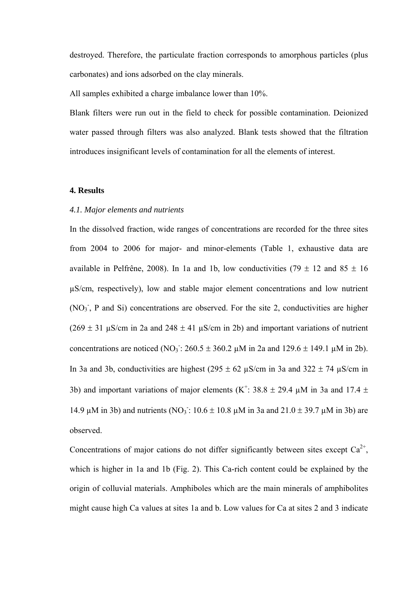destroyed. Therefore, the particulate fraction corresponds to amorphous particles (plus carbonates) and ions adsorbed on the clay minerals.

All samples exhibited a charge imbalance lower than 10%.

Blank filters were run out in the field to check for possible contamination. Deionized water passed through filters was also analyzed. Blank tests showed that the filtration introduces insignificant levels of contamination for all the elements of interest.

#### **4. Results**

#### *4.1. Major elements and nutrients*

In the dissolved fraction, wide ranges of concentrations are recorded for the three sites from 2004 to 2006 for major- and minor-elements (Table 1, exhaustive data are available in Pelfrêne, 2008). In 1a and 1b, low conductivities (79  $\pm$  12 and 85  $\pm$  16 µS/cm, respectively), low and stable major element concentrations and low nutrient (NO<sub>3</sub>, P and Si) concentrations are observed. For the site 2, conductivities are higher  $(269 \pm 31 \text{ uS/cm in } 2a \text{ and } 248 \pm 41 \text{ uS/cm in } 2b)$  and important variations of nutrient concentrations are noticed (NO<sub>3</sub>:  $260.5 \pm 360.2 \mu M$  in 2a and 129.6  $\pm$  149.1  $\mu$ M in 2b). In 3a and 3b, conductivities are highest ( $295 \pm 62$   $\mu$ S/cm in 3a and 322  $\pm$  74  $\mu$ S/cm in 3b) and important variations of major elements (K<sup>+</sup>: 38.8  $\pm$  29.4 µM in 3a and 17.4  $\pm$ 14.9 μM in 3b) and nutrients (NO<sub>3</sub>: 10.6  $\pm$  10.8 μM in 3a and 21.0  $\pm$  39.7 μM in 3b) are observed.

Concentrations of major cations do not differ significantly between sites except  $Ca^{2+}$ , which is higher in 1a and 1b (Fig. 2). This Ca-rich content could be explained by the origin of colluvial materials. Amphiboles which are the main minerals of amphibolites might cause high Ca values at sites 1a and b. Low values for Ca at sites 2 and 3 indicate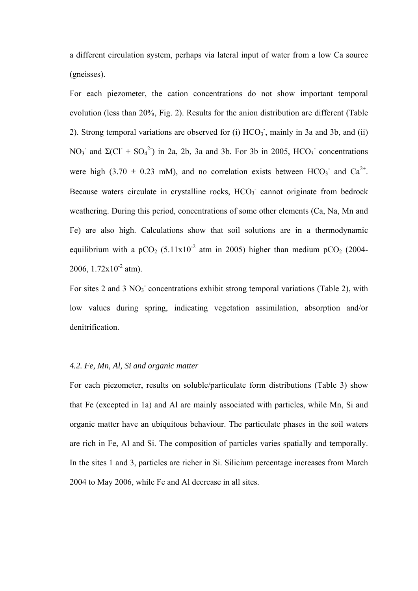a different circulation system, perhaps via lateral input of water from a low Ca source (gneisses).

For each piezometer, the cation concentrations do not show important temporal evolution (less than 20%, Fig. 2). Results for the anion distribution are different (Table 2). Strong temporal variations are observed for  $(i)$  HCO<sub>3</sub>, mainly in 3a and 3b, and  $(ii)$ NO<sub>3</sub> and  $\Sigma$ (Cl<sup>+</sup> SO<sub>4</sub><sup>2</sup>) in 2a, 2b, 3a and 3b. For 3b in 2005, HCO<sub>3</sub> concentrations were high (3.70  $\pm$  0.23 mM), and no correlation exists between HCO<sub>3</sub> and Ca<sup>2+</sup>. Because waters circulate in crystalline rocks,  $HCO<sub>3</sub>$  cannot originate from bedrock weathering. During this period, concentrations of some other elements (Ca, Na, Mn and Fe) are also high. Calculations show that soil solutions are in a thermodynamic equilibrium with a pCO<sub>2</sub> (5.11x10<sup>-2</sup> atm in 2005) higher than medium pCO<sub>2</sub> (2004-2006,  $1.72 \times 10^{-2}$  atm).

For sites 2 and 3  $NO<sub>3</sub>$  concentrations exhibit strong temporal variations (Table 2), with low values during spring, indicating vegetation assimilation, absorption and/or denitrification.

#### *4.2. Fe, Mn, Al, Si and organic matter*

For each piezometer, results on soluble/particulate form distributions (Table 3) show that Fe (excepted in 1a) and Al are mainly associated with particles, while Mn, Si and organic matter have an ubiquitous behaviour. The particulate phases in the soil waters are rich in Fe, Al and Si. The composition of particles varies spatially and temporally. In the sites 1 and 3, particles are richer in Si. Silicium percentage increases from March 2004 to May 2006, while Fe and Al decrease in all sites.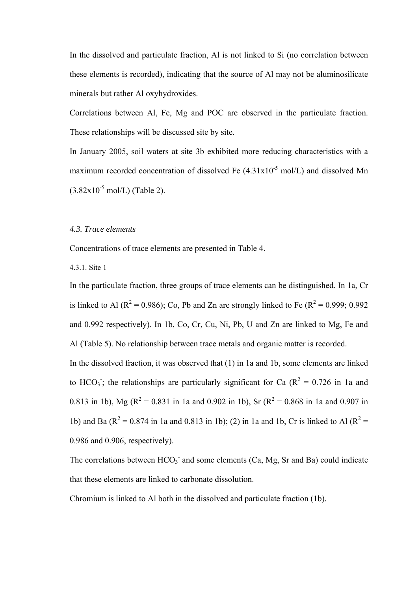In the dissolved and particulate fraction, Al is not linked to Si (no correlation between these elements is recorded), indicating that the source of Al may not be aluminosilicate minerals but rather Al oxyhydroxides.

Correlations between Al, Fe, Mg and POC are observed in the particulate fraction. These relationships will be discussed site by site.

In January 2005, soil waters at site 3b exhibited more reducing characteristics with a maximum recorded concentration of dissolved Fe  $(4.31 \times 10^{-5} \text{ mol/L})$  and dissolved Mn  $(3.82 \times 10^{-5} \text{ mol/L})$  (Table 2).

#### *4.3. Trace elements*

Concentrations of trace elements are presented in Table 4.

#### 4.3.1. Site 1

In the particulate fraction, three groups of trace elements can be distinguished. In 1a, Cr is linked to Al ( $R^2$  = 0.986); Co, Pb and Zn are strongly linked to Fe ( $R^2$  = 0.999; 0.992 and 0.992 respectively). In 1b, Co, Cr, Cu, Ni, Pb, U and Zn are linked to Mg, Fe and Al (Table 5). No relationship between trace metals and organic matter is recorded.

In the dissolved fraction, it was observed that (1) in 1a and 1b, some elements are linked to HCO<sub>3</sub>; the relationships are particularly significant for Ca ( $R^2 = 0.726$  in 1a and 0.813 in 1b), Mg ( $R^2 = 0.831$  in 1a and 0.902 in 1b), Sr ( $R^2 = 0.868$  in 1a and 0.907 in 1b) and Ba ( $R^2 = 0.874$  in 1a and 0.813 in 1b); (2) in 1a and 1b, Cr is linked to Al ( $R^2 =$ 0.986 and 0.906, respectively).

The correlations between  $HCO<sub>3</sub>$  and some elements (Ca, Mg, Sr and Ba) could indicate that these elements are linked to carbonate dissolution.

Chromium is linked to Al both in the dissolved and particulate fraction (1b).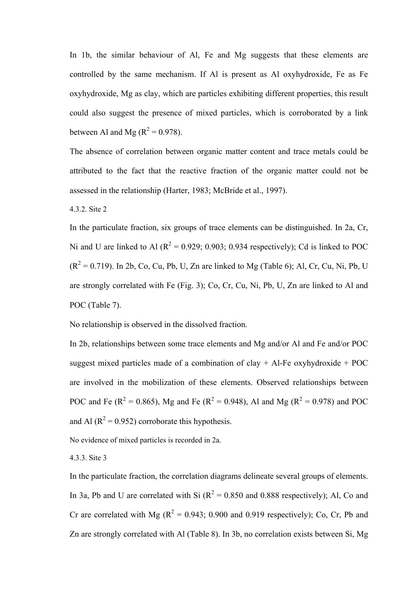In 1b, the similar behaviour of Al, Fe and Mg suggests that these elements are controlled by the same mechanism. If Al is present as Al oxyhydroxide, Fe as Fe oxyhydroxide, Mg as clay, which are particles exhibiting different properties, this result could also suggest the presence of mixed particles, which is corroborated by a link between Al and Mg ( $R^2 = 0.978$ ).

The absence of correlation between organic matter content and trace metals could be attributed to the fact that the reactive fraction of the organic matter could not be assessed in the relationship (Harter, 1983; McBride et al., 1997).

4.3.2. Site 2

In the particulate fraction, six groups of trace elements can be distinguished. In 2a, Cr, Ni and U are linked to Al ( $R^2 = 0.929$ ; 0.903; 0.934 respectively); Cd is linked to POC  $(R<sup>2</sup> = 0.719)$ . In 2b, Co, Cu, Pb, U, Zn are linked to Mg (Table 6); Al, Cr, Cu, Ni, Pb, U are strongly correlated with Fe (Fig. 3); Co, Cr, Cu, Ni, Pb, U, Zn are linked to Al and POC (Table 7).

No relationship is observed in the dissolved fraction.

In 2b, relationships between some trace elements and Mg and/or Al and Fe and/or POC suggest mixed particles made of a combination of clay  $+$  Al-Fe oxyhydroxide  $+$  POC are involved in the mobilization of these elements. Observed relationships between POC and Fe ( $R^2 = 0.865$ ), Mg and Fe ( $R^2 = 0.948$ ), Al and Mg ( $R^2 = 0.978$ ) and POC and Al ( $R^2$  = 0.952) corroborate this hypothesis.

No evidence of mixed particles is recorded in 2a.

4.3.3. Site 3

In the particulate fraction, the correlation diagrams delineate several groups of elements. In 3a, Pb and U are correlated with Si  $(R^2 = 0.850$  and 0.888 respectively); Al, Co and Cr are correlated with Mg ( $R^2 = 0.943$ ; 0.900 and 0.919 respectively); Co, Cr, Pb and Zn are strongly correlated with Al (Table 8). In 3b, no correlation exists between Si, Mg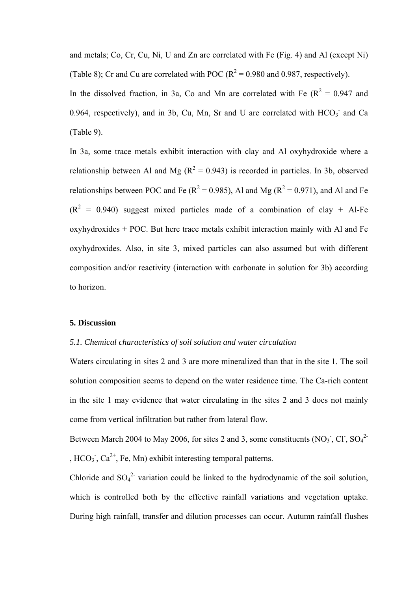and metals; Co, Cr, Cu, Ni, U and Zn are correlated with Fe (Fig. 4) and Al (except Ni) (Table 8); Cr and Cu are correlated with POC ( $R^2 = 0.980$  and 0.987, respectively).

In the dissolved fraction, in 3a, Co and Mn are correlated with Fe  $(R^2 = 0.947$  and 0.964, respectively), and in 3b, Cu, Mn, Sr and U are correlated with  $HCO<sub>3</sub>$  and Ca (Table 9).

In 3a, some trace metals exhibit interaction with clay and Al oxyhydroxide where a relationship between Al and Mg ( $R^2 = 0.943$ ) is recorded in particles. In 3b, observed relationships between POC and Fe ( $R^2 = 0.985$ ), Al and Mg ( $R^2 = 0.971$ ), and Al and Fe  $(R<sup>2</sup> = 0.940)$  suggest mixed particles made of a combination of clay + Al-Fe oxyhydroxides + POC. But here trace metals exhibit interaction mainly with Al and Fe oxyhydroxides. Also, in site 3, mixed particles can also assumed but with different composition and/or reactivity (interaction with carbonate in solution for 3b) according to horizon.

#### **5. Discussion**

#### *5.1. Chemical characteristics of soil solution and water circulation*

Waters circulating in sites 2 and 3 are more mineralized than that in the site 1. The soil solution composition seems to depend on the water residence time. The Ca-rich content in the site 1 may evidence that water circulating in the sites 2 and 3 does not mainly come from vertical infiltration but rather from lateral flow.

Between March 2004 to May 2006, for sites 2 and 3, some constituents (NO<sub>3</sub><sup>-</sup>, Cl<sup>-</sup>, SO<sub>4</sub><sup>2</sup><sup>-</sup> ,  $HCO_3$ ,  $Ca^{2+}$ , Fe, Mn) exhibit interesting temporal patterns.

Chloride and  $SO_4^2$  variation could be linked to the hydrodynamic of the soil solution, which is controlled both by the effective rainfall variations and vegetation uptake. During high rainfall, transfer and dilution processes can occur. Autumn rainfall flushes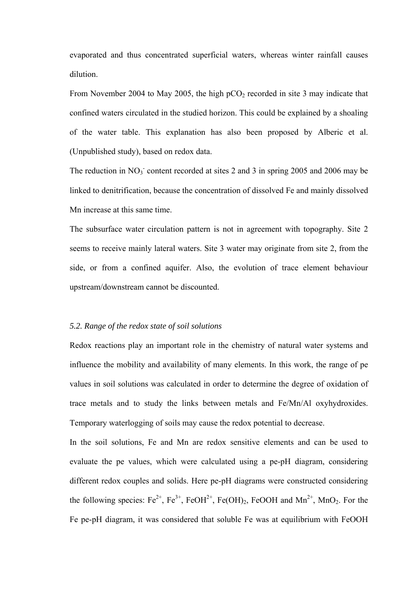evaporated and thus concentrated superficial waters, whereas winter rainfall causes dilution.

From November 2004 to May 2005, the high  $pCO<sub>2</sub>$  recorded in site 3 may indicate that confined waters circulated in the studied horizon. This could be explained by a shoaling of the water table. This explanation has also been proposed by Alberic et al. (Unpublished study), based on redox data.

The reduction in  $NO<sub>3</sub>$  content recorded at sites 2 and 3 in spring 2005 and 2006 may be linked to denitrification, because the concentration of dissolved Fe and mainly dissolved Mn increase at this same time.

The subsurface water circulation pattern is not in agreement with topography. Site 2 seems to receive mainly lateral waters. Site 3 water may originate from site 2, from the side, or from a confined aquifer. Also, the evolution of trace element behaviour upstream/downstream cannot be discounted.

#### *5.2. Range of the redox state of soil solutions*

Redox reactions play an important role in the chemistry of natural water systems and influence the mobility and availability of many elements. In this work, the range of pe values in soil solutions was calculated in order to determine the degree of oxidation of trace metals and to study the links between metals and Fe/Mn/Al oxyhydroxides. Temporary waterlogging of soils may cause the redox potential to decrease.

In the soil solutions, Fe and Mn are redox sensitive elements and can be used to evaluate the pe values, which were calculated using a pe-pH diagram, considering different redox couples and solids. Here pe-pH diagrams were constructed considering the following species:  $Fe^{2+}$ ,  $Fe^{3+}$ ,  $FeOH^{2+}$ ,  $Fe(OH)_2$ ,  $FeOOH$  and  $Mn^{2+}$ ,  $MnO_2$ . For the Fe pe-pH diagram, it was considered that soluble Fe was at equilibrium with FeOOH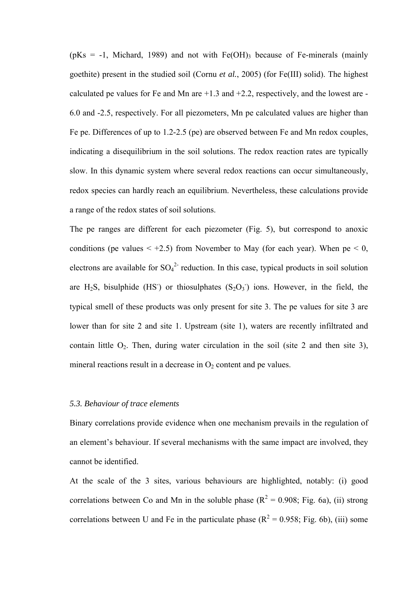( $pKs = -1$ , Michard, 1989) and not with Fe(OH)<sub>3</sub> because of Fe-minerals (mainly goethite) present in the studied soil (Cornu *et al.*, 2005) (for Fe(III) solid). The highest calculated pe values for Fe and Mn are  $+1.3$  and  $+2.2$ , respectively, and the lowest are -6.0 and -2.5, respectively. For all piezometers, Mn pe calculated values are higher than Fe pe. Differences of up to 1.2-2.5 (pe) are observed between Fe and Mn redox couples, indicating a disequilibrium in the soil solutions. The redox reaction rates are typically slow. In this dynamic system where several redox reactions can occur simultaneously, redox species can hardly reach an equilibrium. Nevertheless, these calculations provide a range of the redox states of soil solutions.

The pe ranges are different for each piezometer (Fig. 5), but correspond to anoxic conditions (pe values  $\lt +2.5$ ) from November to May (for each year). When  $pe \lt 0$ , electrons are available for  $SO_4^2$  reduction. In this case, typical products in soil solution are H<sub>2</sub>S, bisulphide (HS) or thiosulphates  $(S_2O_3)$  ions. However, in the field, the typical smell of these products was only present for site 3. The pe values for site 3 are lower than for site 2 and site 1. Upstream (site 1), waters are recently infiltrated and contain little  $O_2$ . Then, during water circulation in the soil (site 2 and then site 3), mineral reactions result in a decrease in  $O_2$  content and pe values.

#### *5.3. Behaviour of trace elements*

Binary correlations provide evidence when one mechanism prevails in the regulation of an element's behaviour. If several mechanisms with the same impact are involved, they cannot be identified.

At the scale of the 3 sites, various behaviours are highlighted, notably: (i) good correlations between Co and Mn in the soluble phase ( $R^2 = 0.908$ ; Fig. 6a), (ii) strong correlations between U and Fe in the particulate phase ( $R^2 = 0.958$ ; Fig. 6b), (iii) some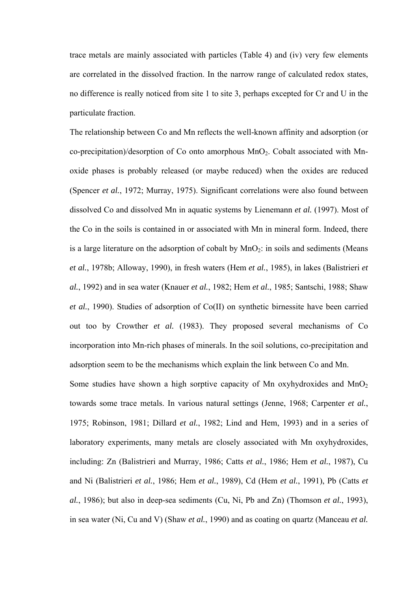trace metals are mainly associated with particles (Table 4) and (iv) very few elements are correlated in the dissolved fraction. In the narrow range of calculated redox states, no difference is really noticed from site 1 to site 3, perhaps excepted for Cr and U in the particulate fraction.

The relationship between Co and Mn reflects the well-known affinity and adsorption (or co-precipitation)/desorption of Co onto amorphous  $MnO<sub>2</sub>$ . Cobalt associated with Mnoxide phases is probably released (or maybe reduced) when the oxides are reduced (Spencer *et al.*, 1972; Murray, 1975). Significant correlations were also found between dissolved Co and dissolved Mn in aquatic systems by Lienemann *et al.* (1997). Most of the Co in the soils is contained in or associated with Mn in mineral form. Indeed, there is a large literature on the adsorption of cobalt by  $MnO<sub>2</sub>$ : in soils and sediments (Means *et al.*, 1978b; Alloway, 1990), in fresh waters (Hem *et al.*, 1985), in lakes (Balistrieri *et al.*, 1992) and in sea water (Knauer *et al.*, 1982; Hem *et al.*, 1985; Santschi, 1988; Shaw *et al.*, 1990). Studies of adsorption of Co(II) on synthetic birnessite have been carried out too by Crowther *et al.* (1983). They proposed several mechanisms of Co incorporation into Mn-rich phases of minerals. In the soil solutions, co-precipitation and adsorption seem to be the mechanisms which explain the link between Co and Mn.

Some studies have shown a high sorptive capacity of Mn oxyhydroxides and  $MnO<sub>2</sub>$ towards some trace metals. In various natural settings (Jenne, 1968; Carpenter *et al.*, 1975; Robinson, 1981; Dillard *et al.*, 1982; Lind and Hem, 1993) and in a series of laboratory experiments, many metals are closely associated with Mn oxyhydroxides, including: Zn (Balistrieri and Murray, 1986; Catts *et al.*, 1986; Hem *et al.*, 1987), Cu and Ni (Balistrieri *et al.*, 1986; Hem *et al.*, 1989), Cd (Hem *et al.*, 1991), Pb (Catts *et al.*, 1986); but also in deep-sea sediments (Cu, Ni, Pb and Zn) (Thomson *et al.*, 1993), in sea water (Ni, Cu and V) (Shaw *et al.*, 1990) and as coating on quartz (Manceau *et al.*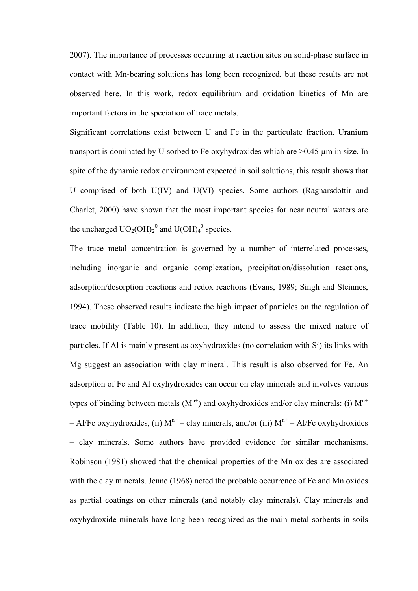2007). The importance of processes occurring at reaction sites on solid-phase surface in contact with Mn-bearing solutions has long been recognized, but these results are not observed here. In this work, redox equilibrium and oxidation kinetics of Mn are important factors in the speciation of trace metals.

Significant correlations exist between U and Fe in the particulate fraction. Uranium transport is dominated by U sorbed to Fe oxyhydroxides which are >0.45 µm in size. In spite of the dynamic redox environment expected in soil solutions, this result shows that U comprised of both U(IV) and U(VI) species. Some authors (Ragnarsdottir and Charlet, 2000) have shown that the most important species for near neutral waters are the uncharged  $UO_2(OH)_2^0$  and  $U(OH)_4^0$  species.

The trace metal concentration is governed by a number of interrelated processes, including inorganic and organic complexation, precipitation/dissolution reactions, adsorption/desorption reactions and redox reactions (Evans, 1989; Singh and Steinnes, 1994). These observed results indicate the high impact of particles on the regulation of trace mobility (Table 10). In addition, they intend to assess the mixed nature of particles. If Al is mainly present as oxyhydroxides (no correlation with Si) its links with Mg suggest an association with clay mineral. This result is also observed for Fe. An adsorption of Fe and Al oxyhydroxides can occur on clay minerals and involves various types of binding between metals  $(M^{n+})$  and oxyhydroxides and/or clay minerals: (i)  $M^{n+}$ – Al/Fe oxyhydroxides, (ii)  $M^{n+}$  – clay minerals, and/or (iii)  $M^{n+}$  – Al/Fe oxyhydroxides – clay minerals. Some authors have provided evidence for similar mechanisms. Robinson (1981) showed that the chemical properties of the Mn oxides are associated with the clay minerals. Jenne (1968) noted the probable occurrence of Fe and Mn oxides as partial coatings on other minerals (and notably clay minerals). Clay minerals and oxyhydroxide minerals have long been recognized as the main metal sorbents in soils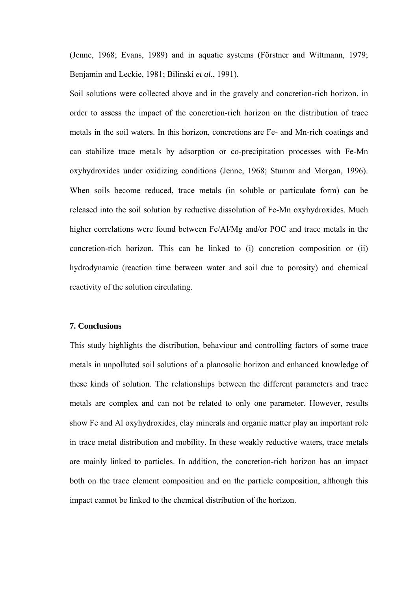(Jenne, 1968; Evans, 1989) and in aquatic systems (Förstner and Wittmann, 1979; Benjamin and Leckie, 1981; Bilinski *et al.*, 1991).

Soil solutions were collected above and in the gravely and concretion-rich horizon, in order to assess the impact of the concretion-rich horizon on the distribution of trace metals in the soil waters. In this horizon, concretions are Fe- and Mn-rich coatings and can stabilize trace metals by adsorption or co-precipitation processes with Fe-Mn oxyhydroxides under oxidizing conditions (Jenne, 1968; Stumm and Morgan, 1996). When soils become reduced, trace metals (in soluble or particulate form) can be released into the soil solution by reductive dissolution of Fe-Mn oxyhydroxides. Much higher correlations were found between Fe/Al/Mg and/or POC and trace metals in the concretion-rich horizon. This can be linked to (i) concretion composition or (ii) hydrodynamic (reaction time between water and soil due to porosity) and chemical reactivity of the solution circulating.

#### **7. Conclusions**

This study highlights the distribution, behaviour and controlling factors of some trace metals in unpolluted soil solutions of a planosolic horizon and enhanced knowledge of these kinds of solution. The relationships between the different parameters and trace metals are complex and can not be related to only one parameter. However, results show Fe and Al oxyhydroxides, clay minerals and organic matter play an important role in trace metal distribution and mobility. In these weakly reductive waters, trace metals are mainly linked to particles. In addition, the concretion-rich horizon has an impact both on the trace element composition and on the particle composition, although this impact cannot be linked to the chemical distribution of the horizon.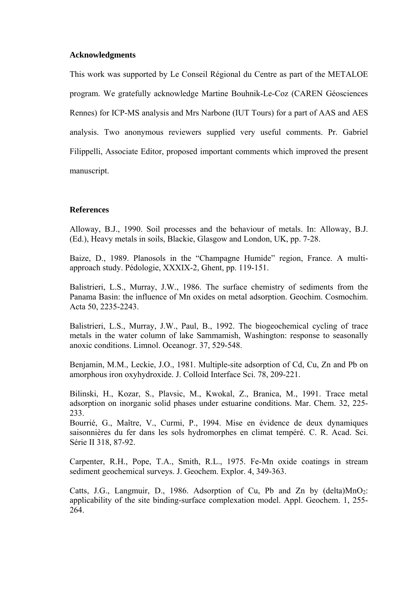#### **Acknowledgments**

This work was supported by Le Conseil Régional du Centre as part of the METALOE program. We gratefully acknowledge Martine Bouhnik-Le-Coz (CAREN Géosciences Rennes) for ICP-MS analysis and Mrs Narbone (IUT Tours) for a part of AAS and AES analysis. Two anonymous reviewers supplied very useful comments. Pr. Gabriel Filippelli, Associate Editor, proposed important comments which improved the present manuscript.

#### **References**

Alloway, B.J., 1990. Soil processes and the behaviour of metals. In: Alloway, B.J. (Ed.), Heavy metals in soils, Blackie, Glasgow and London, UK, pp. 7-28.

Baize, D., 1989. Planosols in the "Champagne Humide" region, France. A multiapproach study. Pédologie, XXXIX-2, Ghent, pp. 119-151.

Balistrieri, L.S., Murray, J.W., 1986. The surface chemistry of sediments from the Panama Basin: the influence of Mn oxides on metal adsorption. Geochim. Cosmochim. Acta 50, 2235-2243.

Balistrieri, L.S., Murray, J.W., Paul, B., 1992. The biogeochemical cycling of trace metals in the water column of lake Sammamish, Washington: response to seasonally anoxic conditions. Limnol. Oceanogr. 37, 529-548.

Benjamin, M.M., Leckie, J.O., 1981. Multiple-site adsorption of Cd, Cu, Zn and Pb on amorphous iron oxyhydroxide. J. Colloid Interface Sci. 78, 209-221.

Bilinski, H., Kozar, S., Plavsic, M., Kwokal, Z., Branica, M., 1991. Trace metal adsorption on inorganic solid phases under estuarine conditions. Mar. Chem. 32, 225- 233.

Bourrié, G., Maître, V., Curmi, P., 1994. Mise en évidence de deux dynamiques saisonnières du fer dans les sols hydromorphes en climat tempéré. C. R. Acad. Sci. Série II 318, 87-92.

Carpenter, R.H., Pope, T.A., Smith, R.L., 1975. Fe-Mn oxide coatings in stream sediment geochemical surveys. J. Geochem. Explor. 4, 349-363.

Catts, J.G., Langmuir, D., 1986. Adsorption of Cu, Pb and Zn by (delta) $MnO<sub>2</sub>$ : applicability of the site binding-surface complexation model. Appl. Geochem. 1, 255- 264.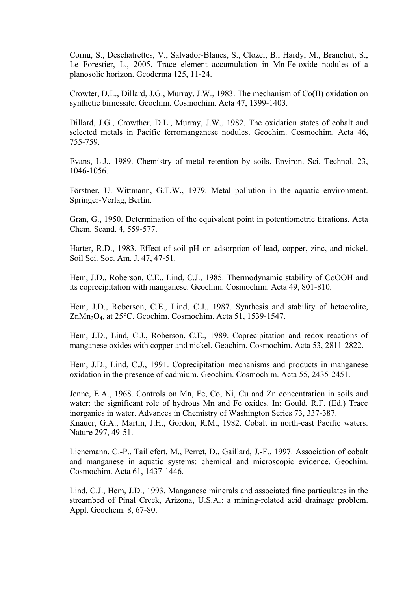Cornu, S., Deschatrettes, V., Salvador-Blanes, S., Clozel, B., Hardy, M., Branchut, S., Le Forestier, L., 2005. Trace element accumulation in Mn-Fe-oxide nodules of a planosolic horizon. Geoderma 125, 11-24.

Crowter, D.L., Dillard, J.G., Murray, J.W., 1983. The mechanism of Co(II) oxidation on synthetic birnessite. Geochim. Cosmochim. Acta 47, 1399-1403.

Dillard, J.G., Crowther, D.L., Murray, J.W., 1982. The oxidation states of cobalt and selected metals in Pacific ferromanganese nodules. Geochim. Cosmochim. Acta 46, 755-759.

Evans, L.J., 1989. Chemistry of metal retention by soils. Environ. Sci. Technol. 23, 1046-1056.

Förstner, U. Wittmann, G.T.W., 1979. Metal pollution in the aquatic environment. Springer-Verlag, Berlin.

Gran, G., 1950. Determination of the equivalent point in potentiometric titrations. Acta Chem. Scand. 4, 559-577.

Harter, R.D., 1983. Effect of soil pH on adsorption of lead, copper, zinc, and nickel. Soil Sci. Soc. Am. J. 47, 47-51.

Hem, J.D., Roberson, C.E., Lind, C.J., 1985. Thermodynamic stability of CoOOH and its coprecipitation with manganese. Geochim. Cosmochim. Acta 49, 801-810.

Hem, J.D., Roberson, C.E., Lind, C.J., 1987. Synthesis and stability of hetaerolite, ZnMn2O4, at 25°C. Geochim. Cosmochim. Acta 51, 1539-1547.

Hem, J.D., Lind, C.J., Roberson, C.E., 1989. Coprecipitation and redox reactions of manganese oxides with copper and nickel. Geochim. Cosmochim. Acta 53, 2811-2822.

Hem, J.D., Lind, C.J., 1991. Coprecipitation mechanisms and products in manganese oxidation in the presence of cadmium. Geochim. Cosmochim. Acta 55, 2435-2451.

Jenne, E.A., 1968. Controls on Mn, Fe, Co, Ni, Cu and Zn concentration in soils and water: the significant role of hydrous Mn and Fe oxides. In: Gould, R.F. (Ed.) Trace inorganics in water. Advances in Chemistry of Washington Series 73, 337-387. Knauer, G.A., Martin, J.H., Gordon, R.M., 1982. Cobalt in north-east Pacific waters. Nature 297, 49-51.

Lienemann, C.-P., Taillefert, M., Perret, D., Gaillard, J.-F., 1997. Association of cobalt and manganese in aquatic systems: chemical and microscopic evidence. Geochim. Cosmochim. Acta 61, 1437-1446.

Lind, C.J., Hem, J.D., 1993. Manganese minerals and associated fine particulates in the streambed of Pinal Creek, Arizona, U.S.A.: a mining-related acid drainage problem. Appl. Geochem. 8, 67-80.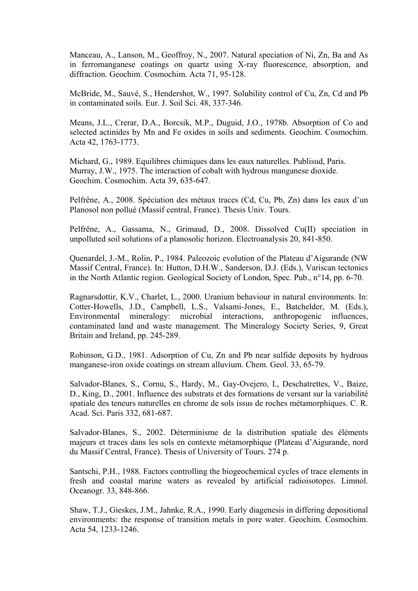Manceau, A., Lanson, M., Geoffroy, N., 2007. Natural speciation of Ni, Zn, Ba and As in ferromanganese coatings on quartz using X-ray fluorescence, absorption, and diffraction. Geochim. Cosmochim. Acta 71, 95-128.

McBride, M., Sauvé, S., Hendershot, W., 1997. Solubility control of Cu, Zn, Cd and Pb in contaminated soils. Eur. J. Soil Sci. 48, 337-346.

Means, J.L., Crerar, D.A., Borcsik, M.P., Duguid, J.O., 1978b. Absorption of Co and selected actinides by Mn and Fe oxides in soils and sediments. Geochim. Cosmochim. Acta 42, 1763-1773.

Michard, G., 1989. Equilibres chimiques dans les eaux naturelles. Publisud, Paris. Murray, J.W., 1975. The interaction of cobalt with hydrous manganese dioxide. Geochim. Cosmochim. Acta 39, 635-647.

Pelfrêne, A., 2008. Spéciation des métaux traces (Cd, Cu, Pb, Zn) dans les eaux d'un Planosol non pollué (Massif central, France). Thesis Univ. Tours.

Pelfrêne, A., Gassama, N., Grimaud, D., 2008. Dissolved Cu(II) speciation in unpolluted soil solutions of a planosolic horizon. Electroanalysis 20, 841-850.

Quenardel, J.-M., Rolin, P., 1984. Paleozoic evolution of the Plateau d'Aigurande (NW Massif Central, France). In: Hutton, D.H.W., Sanderson, D.J. (Eds.), Variscan tectonics in the North Atlantic region. Geological Society of London, Spec. Pub., n°14, pp. 6-70.

Ragnarsdottir, K.V., Charlet, L., 2000. Uranium behaviour in natural environments. In: Cotter-Howells, J.D., Campbell, L.S., Valsami-Jones, E., Batchelder, M. (Eds.), Environmental mineralogy: microbial interactions, anthropogenic influences, contaminated land and waste management. The Mineralogy Society Series, 9, Great Britain and Ireland, pp. 245-289.

Robinson, G.D., 1981. Adsorption of Cu, Zn and Pb near sulfide deposits by hydrous manganese-iron oxide coatings on stream alluvium. Chem. Geol. 33, 65-79.

Salvador-Blanes, S., Cornu, S., Hardy, M., Gay-Ovejero, I., Deschatrettes, V., Baize, D., King, D., 2001. Influence des substrats et des formations de versant sur la variabilité spatiale des teneurs naturelles en chrome de sols issus de roches métamorphiques. C. R. Acad. Sci. Paris 332, 681-687.

Salvador-Blanes, S., 2002. Déterminisme de la distribution spatiale des éléments majeurs et traces dans les sols en contexte métamorphique (Plateau d'Aigurande, nord du Massif Central, France). Thesis of University of Tours. 274 p.

Santschi, P.H., 1988. Factors controlling the biogeochemical cycles of trace elements in fresh and coastal marine waters as revealed by artificial radioisotopes. Limnol. Oceanogr. 33, 848-866.

Shaw, T.J., Gieskes, J.M., Jahnke, R.A., 1990. Early diagenesis in differing depositional environments: the response of transition metals in pore water. Geochim. Cosmochim. Acta 54, 1233-1246.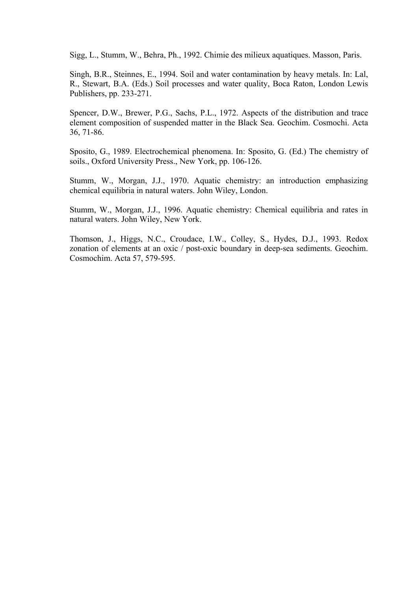Sigg, L., Stumm, W., Behra, Ph., 1992. Chimie des milieux aquatiques. Masson, Paris.

Singh, B.R., Steinnes, E., 1994. Soil and water contamination by heavy metals. In: Lal, R., Stewart, B.A. (Eds.) Soil processes and water quality, Boca Raton, London Lewis Publishers, pp. 233-271.

Spencer, D.W., Brewer, P.G., Sachs, P.L., 1972. Aspects of the distribution and trace element composition of suspended matter in the Black Sea. Geochim. Cosmochi. Acta 36, 71-86.

Sposito, G., 1989. Electrochemical phenomena. In: Sposito, G. (Ed.) The chemistry of soils., Oxford University Press., New York, pp. 106-126.

Stumm, W., Morgan, J.J., 1970. Aquatic chemistry: an introduction emphasizing chemical equilibria in natural waters. John Wiley, London.

Stumm, W., Morgan, J.J., 1996. Aquatic chemistry: Chemical equilibria and rates in natural waters. John Wiley, New York.

Thomson, J., Higgs, N.C., Croudace, I.W., Colley, S., Hydes, D.J., 1993. Redox zonation of elements at an oxic / post-oxic boundary in deep-sea sediments. Geochim. Cosmochim. Acta 57, 579-595.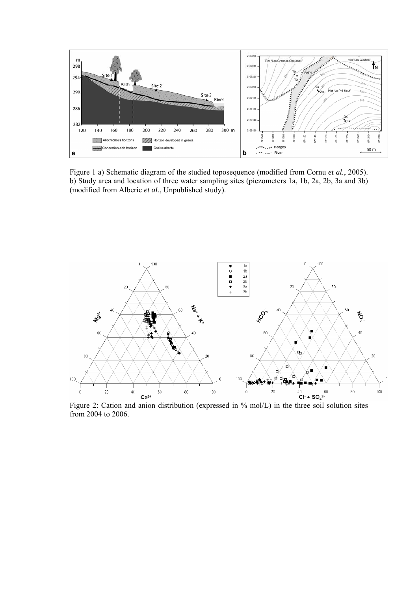

Figure 1 a) Schematic diagram of the studied toposequence (modified from Cornu *et al.*, 2005). b) Study area and location of three water sampling sites (piezometers 1a, 1b, 2a, 2b, 3a and 3b) (modified from Alberic *et al.*, Unpublished study).



Figure 2: Cation and anion distribution (expressed in % mol/L) in the three soil solution sites from 2004 to 2006.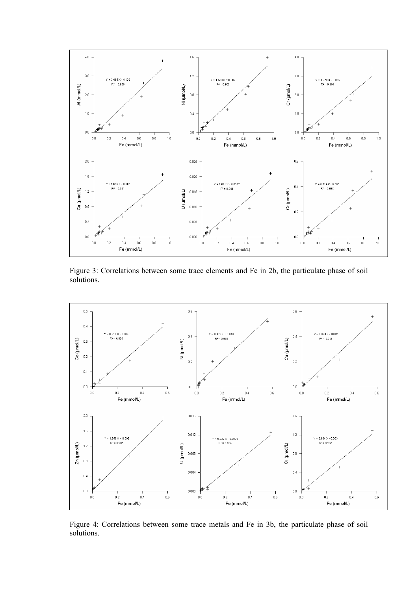

Figure 3: Correlations between some trace elements and Fe in 2b, the particulate phase of soil solutions.



Figure 4: Correlations between some trace metals and Fe in 3b, the particulate phase of soil solutions.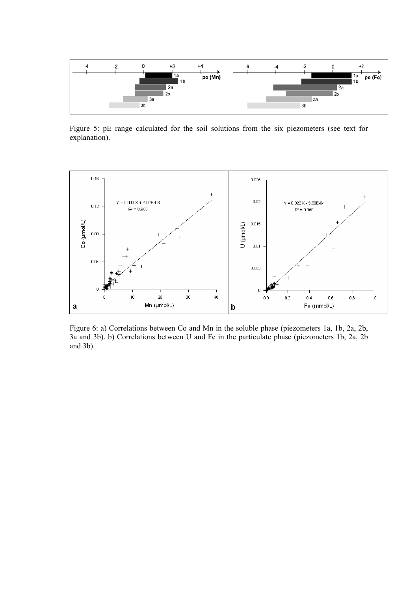

Figure 5: pE range calculated for the soil solutions from the six piezometers (see text for explanation).



Figure 6: a) Correlations between Co and Mn in the soluble phase (piezometers 1a, 1b, 2a, 2b, 3a and 3b). b) Correlations between U and Fe in the particulate phase (piezometers 1b, 2a, 2b and 3b).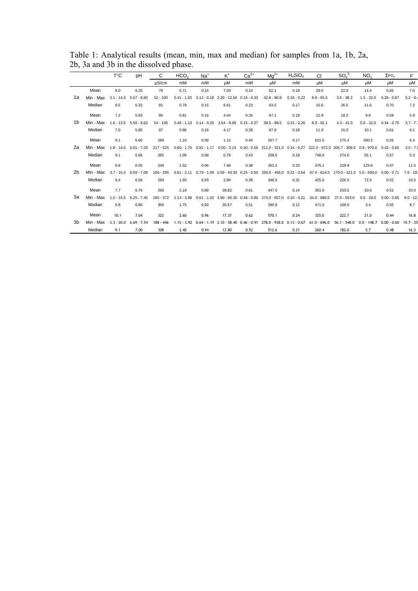|                |           | Т°С          | pH            | C           | HCO <sub>3</sub> | $Na+$         | $K^+$                                  | $Ca2+$        | $Ma^{2+}$                               | $H_4SiO_4$    | CI             | SO <sub>4</sub> <sup>2</sup> | NO <sub>3</sub> | $\Sigma$ PO <sub>4</sub> | F.          |
|----------------|-----------|--------------|---------------|-------------|------------------|---------------|----------------------------------------|---------------|-----------------------------------------|---------------|----------------|------------------------------|-----------------|--------------------------|-------------|
|                |           |              |               | uS/cm       | mM               | mM            | uM                                     | mM            | uM                                      | mM            | μM             | μM                           | μM              | μM                       | μM          |
|                | Mean      | 9.0          | 6.25          | 79          | 0.71             | 0.15          | 7.03                                   | 0.24          | 62.1                                    | 0.18          | 29.0           | 22.0                         | 14.4            | 0.65                     | 7.0         |
| 1a             | Min - Max | $3.1 - 14.3$ | $5.57 - 6.60$ | $62 - 100$  | $0.41 - 1.03$    | $0.12 - 0.18$ | $2.20 - 12.50$                         | $0.16 - 0.33$ | $42.8 - 86.8$                           | $0.16 - 0.22$ | $8.8 - 65.6$   | $3.5 - 38.2$                 | $1.5 - 32.0$    | $0.28 - 0.87$            | $5.2 - 8.$  |
|                | Median    | 9.5          | 6.32          | 81          | 0.79             | 0.15          | 6.61                                   | 0.23          | 63.5                                    | 0.17          | 15.6           | 26.5                         | 11.6            | 0.70                     | 7.2         |
|                | Mean      | 7.2          | 5.93          | 85          | 0.81             | 0.16          | 4.54                                   | 0.26          | 67.1                                    | 0.19          | 22.9           | 18.2                         | 9.8             | 0.59                     | 5.9         |
| 1b             | Min - Max | $1.6 - 13.5$ | $5.56 - 6.62$ | $54 - 106$  | $0.46 - 1.13$    | $0.14 - 0.20$ | $2.64 - 8.09$                          | $0.15 - 0.37$ | $38.5 - 89.5$                           | $0.15 - 0.26$ | $8.3 - 65.1$   | $4.3 - 41.0$                 | $0.0 - 32.0$    | $0.34 - 0.70$            | $3.7 - 7.7$ |
|                | Median    | 7.0          | 5.85          | 87          | 0.86             | 0.16          | 4.17                                   | 0.28          | 67.9                                    | 0.18          | 11.9           | 15.0                         | 10.1            | 0.61                     | 6.1         |
|                | Mean      | 9.1          | 6.60          | 289         | 1.10             | 0.99          | 1.12                                   | 0.45          | 267.7                                   | 0.17          | 621.5          | 275.4                        | 260.5           | 0.55                     | 5.4         |
| 2a             | Min - Max | $1.8 - 14.0$ | $5.91 - 7.25$ | $217 - 525$ | $0.60 - 1.70$    | $0.91 - 1.17$ | $0.00 - 3.14$                          |               | $0.40 - 0.56$ 211.0 - 321.0 0.14 - 0.27 |               |                | 222.3 - 972.3 205.7 - 309.0  | $0.9 - 970.0$   | $0.43 - 0.65$            | $3.5 - 7.5$ |
|                | Median    | 9.1          | 6.66          | 265         | 1.09             | 0.99          | 0.78                                   | 0.43          | 258.5                                   | 0.18          | 748.0          | 274.0                        | 55.1            | 0.57                     | 5.3         |
|                | Mean      | 9.8          | 6.55          | 248         | 1.52             | 0.94          | 7.46                                   | 0.38          | 352.2                                   | 0.33          | 376.1          | 228.9                        | 129.6           | 0.47                     | 11.5        |
| 2 <sub>b</sub> | Min - Max | $3.7 - 15.3$ | $6.09 - 7.08$ | $106 - 295$ | $0.81 - 2.11$    | $0.79 - 1.09$ | $0.59 - 43.30$                         | $0.25 - 0.50$ | 259.8 - 456.0                           | $0.22 - 0.54$ | $97.4 - 614.0$ | 170.0 - 321.0                | $5.6 - 500.0$   | $0.00 - 0.71$            | $7.6 - 18.$ |
|                | Median    | 9.4          | 6.59          | 260         | 1.60             | 0.93          | 2.89                                   | 0.38          | 346.5                                   | 0.31          | 425.5          | 226.5                        | 72.5            | 0.52                     | 10.5        |
|                | Mean      | 7.7          | 6.76          | 295         | 2.19             | 0.89          | 38.82                                  | 0.61          | 447.0                                   | 0.14          | 351.0          | 253.5                        | 10.6            | 0.51                     | 10.0        |
| За             | Min - Max | $1.2 - 15.5$ | $6.25 - 7.40$ | 185 - 372   | $1.13 - 3.88$    |               | $0.61 - 1.02$ 3.90 - 90.30             | $0.46 - 0.86$ | 274.0 - 657.0                           | $0.10 - 0.21$ | $34.0 - 686.0$ | $37.0 - 553.0$               | $0.0 - 29.0$    | $0.00 - 0.85$            | $8.0 - 12.$ |
|                | Median    | 6.8          | 6.86          | 306         | 1.75             | 0.92          | 30.57                                  | 0.51          | 390.9                                   | 0.12          | 471.0          | 169.0                        | 3.4             | 0.55                     | 9.7         |
|                | Mean      | 10.1         | 7.04          | 322         | 2.60             | 0.96          | 17.37                                  | 0.62          | 570.1                                   | 0.24          | 325.0          | 222.7                        | 21.0            | 0.44                     | 16.8        |
| 3b             | Min - Max | $3.3 - 20.0$ | $6.69 - 7.54$ | $188 - 446$ | $1.15 - 3.92$    |               | $0.64 - 1.19$ 3.10 - 58.40 0.46 - 0.91 |               | 278.0 - 938.0 0.13 - 0.67               |               | $61.0 - 696.0$ | $56.1 - 548.0$               | $0.0 - 148.7$   | $0.00 - 0.60$            | $10.7 - 25$ |
|                | Median    | 9.1          | 7,00          | 308         | 2.40             | 0.94          | 12.80                                  | 0.52          | 512.6                                   | 0.21          | 260.4          | 182.0                        | 5.7             | 0.48                     | 16.3        |

Table 1: Analytical results (mean, min, max and median) for samples from 1a, 1b, 2a, 2b, 3a and 3b in the dissolved phase.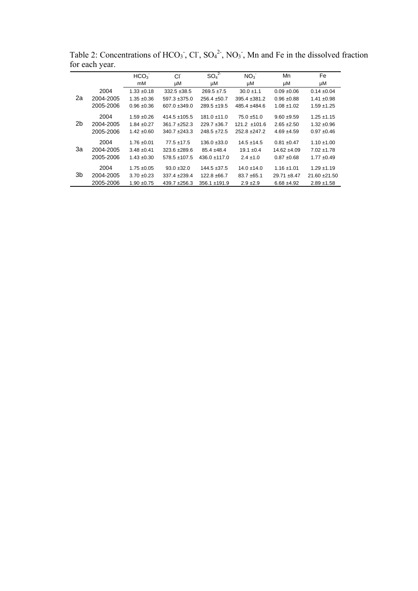|    |           | HCO <sub>3</sub> | Cl <sup>-</sup>   | SO <sub>4</sub> <sup>2</sup> | NO <sub>3</sub>   | Mn              | Fe              |
|----|-----------|------------------|-------------------|------------------------------|-------------------|-----------------|-----------------|
|    |           | mM               | μM                | μM                           | μM                | μM              | μM              |
|    | 2004      | $1.33 + 0.18$    | $332.5 + 38.5$    | $269.5 \pm 7.5$              | $30.0 \pm 1.1$    | $0.09 + 0.06$   | $0.14 \pm 0.04$ |
| 2a | 2004-2005 | $1.35 + 0.36$    | $597.3 + 375.0$   | $256.4 + 50.7$               | $395.4 + 381.2$   | $0.96 \pm 0.88$ | $1.41 \pm 0.98$ |
|    | 2005-2006 | $0.96 + 0.36$    | $607.0 + 349.0$   | $289.5 + 19.5$               | $485.4 + 484.6$   | $1.08 + 1.02$   | $1.59 + 1.25$   |
|    | 2004      | $1.59 + 0.26$    | $414.5 \pm 105.5$ | $181.0 \pm 11.0$             | $75.0 + 51.0$     | $9.60 + 9.59$   | $1.25 + 1.15$   |
| 2b | 2004-2005 | $1.84 + 0.27$    | $361.7 + 252.3$   | $229.7 + 36.7$               | $121.2 \pm 101.6$ | $2.65 + 2.50$   | $1.32 + 0.96$   |
|    | 2005-2006 | $1.42 \pm 0.60$  | $340.7 + 243.3$   | $248.5 + 72.5$               | $252.8 + 247.2$   | $4.69 + 4.59$   | $0.97 + 0.46$   |
|    | 2004      | $1.76 \pm 0.01$  | $77.5 + 17.5$     | $136.0 \pm 33.0$             | $14.5 + 14.5$     | $0.81 + 0.47$   | $1.10 \pm 1.00$ |
| За | 2004-2005 | $3.48 + 0.41$    | $323.6 + 289.6$   | $85.4 + 48.4$                | $19.1 \pm 0.4$    | $14.62 + 4.09$  | $7.02 + 1.78$   |
|    | 2005-2006 | $1.43 + 0.30$    | $578.5 \pm 107.5$ | $436.0 + 117.0$              | $2.4 \pm 1.0$     | $0.87 + 0.68$   | $1.77 \pm 0.49$ |
|    | 2004      | $1.75 + 0.05$    | $93.0 + 32.0$     | $144.5 \pm 37.5$             | $14.0 \pm 14.0$   | $1.16 \pm 1.01$ | $1.29 + 1.19$   |
| 3b | 2004-2005 | $3.70 + 0.23$    | $337.4 + 239.4$   | $122.8 + 66.7$               | $83.7 + 65.1$     | $29.71 + 8.47$  | $21.60 + 21.50$ |
|    | 2005-2006 | $1.90 + 0.75$    | $439.7 + 256.3$   | $356.1 \pm 191.9$            | $2.9 \pm 2.9$     | $6.68 + 4.92$   | $2.89 + 1.58$   |
|    |           |                  |                   |                              |                   |                 |                 |

Table 2: Concentrations of  $HCO_3$ , Cl,  $SO_4^2$ , NO<sub>3</sub>, Mn and Fe in the dissolved fraction for each year.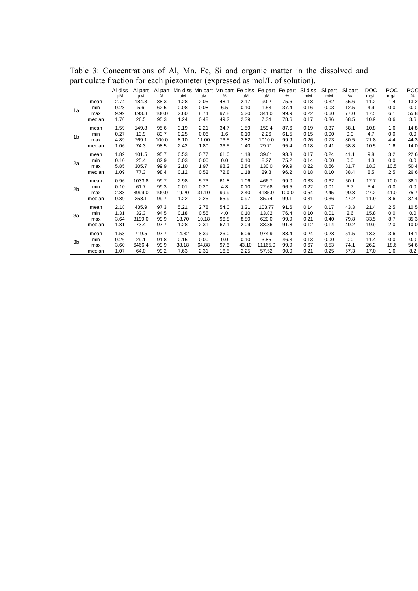|                |        |               |               | л.    |                                                               |       |      |       |         |       |               |               |              |             |             |             |
|----------------|--------|---------------|---------------|-------|---------------------------------------------------------------|-------|------|-------|---------|-------|---------------|---------------|--------------|-------------|-------------|-------------|
|                |        | Al diss<br>μM | Al part<br>μM | %     | Al part Mn diss Mn part Mn part Fe diss Fe part Fe part<br>μM | μM    | %    | μM    | μM      | %     | Si diss<br>mM | Si part<br>mM | Si part<br>% | DOC<br>mg/L | POC<br>mg/L | POC<br>$\%$ |
|                | mean   | 2.74          | 184.3         | 88.3  | 1.28                                                          | 2.05  | 48.1 | 2.17  | 90.2    | 75.6  | 0.18          | 0.32          | 55.6         | 11.2        | 1.4         | 13.2        |
|                | min    | 0.28          | 5.6           | 62.5  | 0.08                                                          | 0.08  | 6.5  | 0.10  | 1.53    | 37.4  | 0.16          | 0.03          | 12.5         | 4.9         | 0.0         | 0.0         |
| 1a             | max    | 9.99          | 693.8         | 100.0 | 2.60                                                          | 8.74  | 97.8 | 5.20  | 341.0   | 99.9  | 0.22          | 0.60          | 77.0         | 17.5        | 6.1         | 55.8        |
|                | median | 1.76          | 26.5          | 95.3  | 1.24                                                          | 0.48  | 49.2 | 2.39  | 7.34    | 78.6  | 0.17          | 0.36          | 68.5         | 10.9        | 0.6         | 3.6         |
|                | mean   | 1.59          | 149.8         | 95.6  | 3.19                                                          | 2.21  | 34.7 | 1.59  | 159.4   | 87.6  | 0.19          | 0.37          | 58.1         | 10.8        | 1.6         | 14.8        |
| 1 <sub>b</sub> | min    | 0.27          | 13.9          | 83.7  | 0.25                                                          | 0.06  | 1.6  | 0.10  | 2.26    | 61.5  | 0.15          | 0.00          | 0.0          | 4.7         | 0.0         | 0.0         |
|                | max    | 4.89          | 769.1         | 100.0 | 8.10                                                          | 11.00 | 76.5 | 2.82  | 1010.0  | 99.9  | 0.26          | 0.73          | 80.5         | 21.8        | 4.4         | 44.3        |
|                | median | 1.06          | 74.3          | 98.5  | 2.42                                                          | 1.80  | 36.5 | 1.40  | 29.71   | 95.4  | 0.18          | 0.41          | 68.8         | 10.5        | 1.6         | 14.0        |
| 2a             | mean   | 1.89          | 101.5         | 95.7  | 0.53                                                          | 0.77  | 61.0 | 1.18  | 39.81   | 93.3  | 0.17          | 0.24          | 41.1         | 9.8         | 3.2         | 22.6        |
|                | min    | 0.10          | 25.4          | 82.9  | 0.03                                                          | 0.00  | 0.0  | 0.10  | 8.27    | 75.2  | 0.14          | 0.00          | 0.0          | 4.3         | 0.0         | 0.0         |
|                | max    | 5.85          | 305.7         | 99.9  | 2.10                                                          | 1.97  | 98.2 | 2.84  | 130.0   | 99.9  | 0.22          | 0.66          | 81.7         | 18.3        | 10.5        | 50.4        |
|                | median | 1.09          | 77.3          | 98.4  | 0.12                                                          | 0.52  | 72.8 | 1.18  | 29.8    | 96.2  | 0.18          | 0.10          | 38.4         | 8.5         | 2.5         | 26.6        |
|                | mean   | 0.96          | 1033.8        | 99.7  | 2.98                                                          | 5.73  | 61.8 | 1.06  | 466.7   | 99.0  | 0.33          | 0.62          | 50.1         | 12.7        | 10.0        | 38.1        |
| 2 <sub>b</sub> | min    | 0.10          | 61.7          | 99.3  | 0.01                                                          | 0.20  | 4.8  | 0.10  | 22.68   | 96.5  | 0.22          | 0.01          | 3.7          | 5.4         | 0.0         | 0.0         |
|                | max    | 2.88          | 3999.0        | 100.0 | 19.20                                                         | 31.10 | 99.9 | 2.40  | 4185.0  | 100.0 | 0.54          | 2.45          | 90.8         | 27.2        | 41.0        | 75.7        |
|                | median | 0.89          | 258.1         | 99.7  | 1.22                                                          | 2.25  | 65.9 | 0.97  | 85.74   | 99.1  | 0.31          | 0.36          | 47.2         | 11.9        | 8.6         | 37.4        |
|                | mean   | 2.18          | 435.9         | 97.3  | 5.21                                                          | 2.78  | 54.0 | 3.21  | 103.77  | 91.6  | 0.14          | 0.17          | 43.3         | 21.4        | 2.5         | 10.5        |
| 3a             | min    | 1.31          | 32.3          | 94.5  | 0.18                                                          | 0.55  | 4.0  | 0.10  | 13.82   | 76.4  | 0.10          | 0.01          | 2.6          | 15.8        | 0.0         | 0.0         |
|                | max    | 3.64          | 3199.0        | 99.9  | 18.70                                                         | 10.18 | 96.8 | 8.80  | 620.0   | 99.9  | 0.21          | 0.40          | 79.8         | 33.5        | 8.7         | 35.3        |
|                | median | 1.81          | 73.4          | 97.7  | 1.28                                                          | 2.31  | 67.1 | 2.09  | 38.36   | 91.8  | 0.12          | 0.14          | 40.2         | 19.9        | 2.0         | 10.0        |
|                | mean   | 1.53          | 719.5         | 97.7  | 14.32                                                         | 8.39  | 26.0 | 6.06  | 974.9   | 88.4  | 0.24          | 0.28          | 51.5         | 18.3        | 3.6         | 14.1        |
| 3 <sub>b</sub> | min    | 0.26          | 29.1          | 91.8  | 0.15                                                          | 0.00  | 0.0  | 0.10  | 3.85    | 46.3  | 0.13          | 0.00          | 0.0          | 11.4        | 0.0         | 0.0         |
|                | max    | 3.60          | 6466.4        | 99.9  | 38.18                                                         | 64.88 | 97.6 | 43.10 | 11165.0 | 99.9  | 0.67          | 0.53          | 74.1         | 26.2        | 18.6        | 54.6        |
|                | median | 1.07          | 64.0          | 99.2  | 7.63                                                          | 2.31  | 16.5 | 2.25  | 57.52   | 90.0  | 0.21          | 0.25          | 57.3         | 17.0        | 1.6         | 8.2         |

Table 3: Concentrations of Al, Mn, Fe, Si and organic matter in the dissolved and particulate fraction for each piezometer (expressed as mol/L of solution).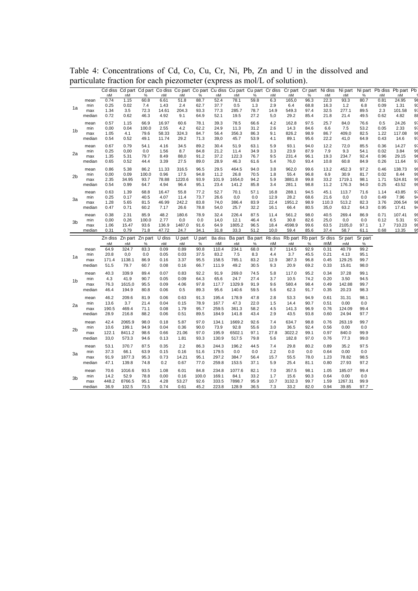|                |               | nM           | nM            | $\%$          | nM            | Cd diss Cd part Cd part Co diss Co part Co part Cu diss Cu part Cu part Cr diss Cr part Cr part Ni diss<br>nM | %            | nM           | nM             | %               | nM           | nM              | $\%$         | nM            | nM            |              | nM           | Ni part Ni part Pb diss Pb part Pb<br>nM |          |
|----------------|---------------|--------------|---------------|---------------|---------------|---------------------------------------------------------------------------------------------------------------|--------------|--------------|----------------|-----------------|--------------|-----------------|--------------|---------------|---------------|--------------|--------------|------------------------------------------|----------|
|                | mean          | 0.74         | 1.15          | 60.8          | 6.61          | 51.8                                                                                                          | 88.7         | 52.4         | 78.1           | 59.8            | 6.3          | 165,0           | 96.3         | 22.3          | 93.3          | %<br>80.7    | 0.81         | 24.95                                    | 96       |
|                | min           | 0.25         | 0.02          | 7.4           | 1.43          | 2.4                                                                                                           | 62.7         | 37.7         | 0.5            | 1.3             | 2.9          | 6.4             | 68.8         | 16.3          | 1.2           | 6.8          | 0.09         | 1.31                                     | 93       |
| 1a             | max           | 1.34         | 3.5           | 72.3          | 14.61         | 204.3                                                                                                         | 93.3         | 77.3         | 285.7          | 78.7            | 14.9         | 549.3           | 97.4         | 32.5          | 277.1         | 89.5         | 2.3          | 101.58                                   | 97       |
|                | median        | 0.72         | 0.62          | 46.3          | 4.92          | 9.1                                                                                                           | 64.9         | 52.1         | 19.5           | 27.2            | 5,0          | 29.2            | 85.4         | 21.8          | 21.4          | 49.5         | 0.62         | 4.82                                     | 88       |
|                | mean          | 0.57         | 1.15          | 66.9          | 16.97         | 60.6                                                                                                          | 78.1         | 39.3         | 78.5           | 66.6            | 4.2          | 162.8           | 97.5         | 25.7          | 84,0          | 76.6         | 0.5          | 24.26                                    | 97       |
|                | min           | 0,00         | 0.04          | 100.0         | 2.55          | 4.2                                                                                                           | 62.2         | 24.9         | 11.3           | 31.2            | 2.6          | 14.3            | 84.6         | 6.6           | 7.5           | 53.2         | 0.05         | 2.33                                     | 97       |
| 1b             | max           | 1.05         | 4.1           | 79.6          | 58.33         | 324.3                                                                                                         | 84.7         | 56.4         | 356.3          | 86.3            | 9.1          | 826.2           | 98.9         | 86.7          | 409,0         | 82.5         | 1.22         | 117.08                                   | 99       |
|                | median        | 0.54         | 0.52          | 49.1          | 11.74         | 29.2                                                                                                          | 71.3         | 39,0         | 45.7           | 53.9            | 4.1          | 89.1            | 95.6         | 22.2          | 41,0          | 64.9         | 0.43         | 14.6                                     | 97       |
|                | mean          | 0.67         | 0.79          | 54.1          | 4.16          | 34.5                                                                                                          | 89.2         | 30.4         | 51.9           | 63.1            | 5.9          | 93.1            | 94.0         | 12.2          | 72,0          | 85.5         | 0.36         | 14.27                                    | 97       |
| 2a             | min           | 0.25         | 0,00          | 0.0           | 1.56          | 8.7                                                                                                           | 84.8         | 21.2         | 11.4           | 34.9            | 3.3          | 23.9            | 87.9         | 7.9           | 9.3           | 54.1         | 0.02         | 3.84                                     | 99<br>96 |
|                | max           | 1.35         | 5.31          | 79.7          | 8.49          | 88,0                                                                                                          | 91.2         | 37.2         | 122.3          | 76.7            | 9.5          | 231.4           | 96.1         | 19.3          | 234.7         | 92.4         | 0.96         | 29.15                                    |          |
|                | median        | 0.65         | 0.52          | 44.4          | 3.39          | 27.5                                                                                                          | 89.0         | 28.9         | 46.3           | 61.6            | 5.4          | 76,0            | 93.4         | 10.8          | 60.8          | 84.9         | 0.26         | 11.64                                    | 97       |
|                | mean          | 0.86         | 5.38          | 86.2          | 11.33         | 316.5                                                                                                         | 96.5         | 29.5         | 464.5          | 94.0            | 3.8          | 962,0           | 99.6         | 13.2          | 452.3         | 97.2         | 0.46         | 138.73                                   | 99       |
| 2 <sub>b</sub> | min           | 0,00         | 0.09          | 100.0         | 0.96          | 17.5                                                                                                          | 94.8         | 11.2         | 26.8           | 70.5            | 1.8          | 55.4            | 96.8         | 6.9           | 30.9          | 81.7         | 0.02         | 8.44                                     | 99       |
|                | max           | 2.35         | 34.95         | 93.7          | 78.88         | 1220.6                                                                                                        | 93.9         | 101.9        | 1654,0         | 94.2            | 5.9          | 3881.8          | 99.8         | 33.2          | 1719.1        | 98.1         | 1.71         | 524.81                                   | 99       |
|                | median        | 0.54         | 0.99          | 64.7          | 4.94          | 96.4                                                                                                          | 95.1         | 23.4         | 141.2          | 85.8            | 3.4          | 281.1           | 98.8         | 11.2          | 176.3         | 94.0         | 0.25         | 43.52                                    | 99       |
|                | mean          | 0.63         | 1.39          | 68.8          | 16.47         | 55.8                                                                                                          | 77.2         | 52.7         | 70.1           | 57.1            | 16.8         | 288.1           | 94.5         | 45.1          | 113.7         | 71.6         | 1.14         | 43.85                                    | 97       |
| За             | min           | 0.25         | 0.17          | 40.5          | 4.07          | 11.4                                                                                                          | 73.7         | 26.6         | 0,0            | 0.0             | 12.9         | 28.2            | 68.6         | 21.6          | 0,0           | 0.0          | 0.49         | 7.96                                     | 94<br>98 |
|                | max<br>median | 1.28<br>0.47 | 5.65<br>0.71  | 81.5<br>60.2  | 46.99<br>7.17 | 242.2<br>26.6                                                                                                 | 83.8<br>78.8 | 74,0<br>54,0 | 386.4<br>25.7  | 83.9<br>32.2    | 22.4<br>16.1 | 1951.2<br>66.4  | 98.9<br>80.5 | 110.3<br>35,0 | 513.2<br>63.2 | 82.3<br>64.3 | 3.76<br>0.95 | 206.54<br>17.41                          | 94       |
|                |               |              |               |               |               |                                                                                                               |              |              |                |                 |              |                 |              |               |               |              |              |                                          |          |
| 3b             | mean          | 0.38         | 2.31          | 85.9<br>100.0 | 48.2          | 180.6                                                                                                         | 78.9         | 32.4         | 226.4          | 87.5            | 11.4         | 561.2           | 98.0         | 40.5<br>25,0  | 269.4         | 86.9         | 0.71         | 107.41                                   | 99<br>97 |
|                | min<br>max    | 0,00<br>1.06 | 0.26<br>15.47 | 93.6          | 2.77<br>136.9 | 0,0<br>1487,0                                                                                                 | 0.0<br>91.6  | 14,0<br>64.9 | 12.1<br>1805.2 | 46.4<br>96.5    | 6.5<br>18.4  | 30.8<br>4598.9  | 82.6<br>99.6 | 63.5          | 0,0<br>2105,0 | 0.0<br>97.1  | 0.12<br>1.7  | 5.31<br>710.23                           | 99       |
|                | median        | 0.31         | 0.79          | 71.8          | 47.72         | 24.7                                                                                                          | 34.1         | 31.8         | 33.3           | 51.2            | 10,0         | 59.4            | 85.6         | 37.4          | 58.7          | 61.1         | 0.68         | 13.35                                    | 95       |
|                |               | Zn diss      | Zn part       | Zn part       | U diss        | U part                                                                                                        | U part       | Ba diss      |                | Ba part Ba part | Rb diss      | Rb part Rb part |              | Sr diss       | Sr part       | Sr part      |              |                                          |          |
|                |               | nM           | nM            | $\%$          | nM            | nM                                                                                                            | $\%$         | nM           | nM             | $\%$            | nM           | nM              | $\%$         | mM            | mM            | $\%$         |              |                                          |          |
|                | mean          | 64.9         | 324.7         | 83.3          | 0.09          | 0.89                                                                                                          | 90.8         | 110.4        | 234.1          | 68.0            | 8.7          | 114.5           | 92.9         | 0.31          | 40.79         | 99.2         |              |                                          |          |
| 1a             | min           | 20.8         | 0,0           | 0.0           | 0.05          | 0.03                                                                                                          | 37.5         | 83.2         | 7.5            | 8.3             | 4.4          | 3.7             | 45.5         | 0.21          | 4.13          | 95.1         |              |                                          |          |
|                | max           | 171.4        | 1138.1        | 86.9          | 0.16          | 3.37                                                                                                          | 95.5         | 158.5        | 785.1          | 83.2            | 12.9         | 387.3           | 96.8         | 0.45          | 129.25        | 99.7         |              |                                          |          |
|                | median        | 51.5         | 79.7          | 60.7          | 0.08          | 0.16                                                                                                          | 66.7         | 111.9        | 49.2           | 30.5            | 9.3          | 20.9            | 69.2         | 0.33          | 15.81         | 98.0         |              |                                          |          |
|                | mean          | 40.3         | 339.9         | 89.4          | 0.07          | 0.83                                                                                                          | 92.2         | 91.9         | 269.0          | 74.5            | 5.8          | 117.0           | 95.2         | 0.34          | 37.28         | 99.1         |              |                                          |          |
| 1b             | min           | 4.3          | 41.9          | 90.7          | 0.05          | 0.09                                                                                                          | 64.3         | 65.6         | 24.7           | 27.4            | 3.7          | 10.5            | 74.2         | 0.20          | 3.50          | 94.5         |              |                                          |          |
|                | max           | 76.3         | 1615,0        | 95.5          | 0.09          | 4.06                                                                                                          | 97.8         | 117.7        | 1329.9         | 91.9            | 9.6          | 580.4           | 98.4         | 0.49          | 142.88        | 99.7         |              |                                          |          |
|                | median        | 46.4         | 194.9         | 80.8          | 0.06          | 0.5                                                                                                           | 89.3         | 95.6         | 140.6          | 59.5            | 5.6          | 62.3            | 91.7         | 0.35          | 20.23         | 98.3         |              |                                          |          |
|                | mean          | 46.2         | 209.6         | 81.9          | 0.06          | 0.63                                                                                                          | 91.3         | 195.4        | 178.9          | 47.8            | 2.8          | 53.3            | 94.9         | 0.61          | 31.31         | 98.1         |              |                                          |          |
| 2a             | min           | 13.6         | 3.7           | 21.4          | 0.04          | 0.15                                                                                                          | 78.9         | 167.7        | 47.3           | 22.0            | 1.5          | 14.4            | 90.7         | 0.51          | 0.00          | 0.0          |              |                                          |          |
|                | max           | 190.5        | 469.4         | 71.1          | 0.08          | 1.79                                                                                                          | 95.7         | 259.5        | 361.3          | 58.2            | 4.5          | 141.3           | 96.9         | 0.76          | 124.09        | 99.4         |              |                                          |          |
|                | median        | 28.9         | 216.8         | 88.2          | 0.06          | 0.51                                                                                                          | 89.5         | 184.9        | 141.8          | 43.4            | 2.9          | 43.5            | 93.8         | 0.60          | 24.94         | 97.7         |              |                                          |          |
|                | mean          | 42.4         | 2065.9        | 98.0          | 0.18          | 5.87                                                                                                          | 97.0         | 134.1        | 1669.2         | 92.6            | 7.4          | 634.7           | 98.8         | 0.76          | 263.19        | 99.7         |              |                                          |          |
| 2b             | min           | 10.6         | 199.1         | 94.9          | 0.04          | 0.36                                                                                                          | 90.0         | 73.9         | 92.8           | 55.6            | 3.0          | 36.5            | 92.4         | 0.56          | 0.00          | 0.0          |              |                                          |          |
|                | max           | 122.1        | 8411.2        | 98.6          | 0.66          | 21.06                                                                                                         | 97.0         | 195.9        | 6502.1         | 97.1            | 27.8         | 3022.2          | 99.1         | 0.97          | 840.0         | 99.9         |              |                                          |          |
|                | median        | 33,0         | 573.3         | 94.6          | 0.13          | 1.81                                                                                                          | 93.3         | 130.9        | 517.5          | 79.8            | 5.6          | 182.8           | 97.0         | 0.76          | 77.3          | 99.0         |              |                                          |          |
|                | mean          | 53.1         | 370.7         | 87.5          | 0.35          | 2.2                                                                                                           | 86.3         | 244.3        | 196.2          | 44.5            | 7.4          | 29.8            | 80.2         | 0.89          | 35.2          | 97.5         |              |                                          |          |
|                | min           | 37.3         | 66.1          | 63.9          | 0.15          | 0.16                                                                                                          | 51.6         | 179.5        | 0.0            | 0.0             | 2.2          | 0.0             | 0.0          | 0.64          | 0.00          | 0.0          |              |                                          |          |
| За             | max           | 91.9         | 1877.3        | 95.3          | 0.73          | 14.21                                                                                                         | 95.1         | 297.2        | 384.7          | 56.4            | 15.7         | 55.5            | 78.0         | 1.23          | 78.82         | 98.5         |              |                                          |          |
|                | median        | 47.1         | 139.8         | 74.8          | 0.2           | 0.67                                                                                                          | 77.0         | 259.8        | 153.5          | 37.1            | 5.9          | 25.4            | 81.1         | 0.80          | 27.93         | 97.2         |              |                                          |          |
|                | mean          | 70.6         | 1016.6        | 93.5          | 1.08          | 6.01                                                                                                          | 84.8         | 234.8        | 1077.6         | 82.1            | 7.0          | 357.5           | 98.1         | 1.05          | 185.07        | 99.4         |              |                                          |          |
| 3b             | min           | 14.2         | 52.9          | 78.8          | 0,00          | 0.16                                                                                                          | 100.0        | 169.1        | 84.1           | 33.2            | 1.7          | 15.6            | 90.3         | 0.64          | 0.00          | 0.0          |              |                                          |          |
|                | max           | 448.2        | 8766.5        | 95.1          | 4.28          | 53.27                                                                                                         | 92.6         | 333.5        | 7898.7         | 95.9            | 10.7         | 3132.3          | 99.7         | 1.59          | 1267.31       | 99.9         |              |                                          |          |
|                | median        | 36.9         | 102.5         | 73.5          | 0.74          | 0.61                                                                                                          | 45.2         | 223.8        | 128.9          | 36.5            | 7.3          | 33.2            | 82.0         | 0.94          | 39.85         | 97.7         |              |                                          |          |

Table 4: Concentrations of Cd, Co, Cu, Cr, Ni, Pb, Zn and U in the dissolved and particulate fraction for each piezometer (express as mol/L of solution).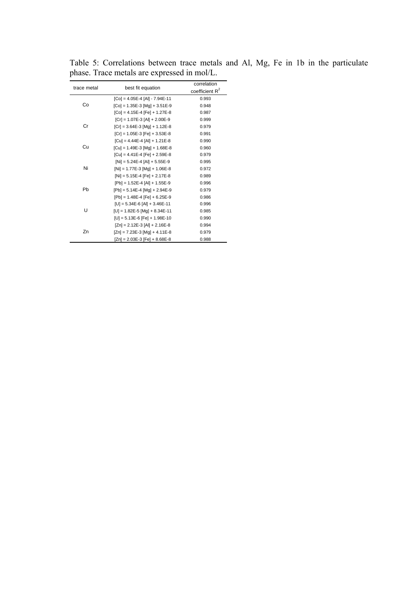| trace metal | best fit equation                  | correlation       |
|-------------|------------------------------------|-------------------|
|             |                                    | coefficient $R^2$ |
|             | $[Co] = 4.05E-4$ $[Al] - 7.94E-11$ | 0.993             |
| Co          | $[Co] = 1.35E-3$ $[Mg] + 3.51E-9$  | 0.948             |
|             | $[Co] = 4.15E-4 [Fe] + 1.27E-8$    | 0.987             |
|             | $[Cr] = 1.07E-3$ $[Al] + 2.00E-9$  | 0.999             |
| Cr          | $[Cr] = 3.64E-3$ $[Mg] + 1.12E-8$  | 0.979             |
|             | $[Cr] = 1.05E-3 [Fe] + 3.53E-8$    | 0.991             |
|             | $[Cu] = 4.44E-4 [Al] + 1.21E-8$    | 0.990             |
| Cu          | $[Cu] = 1.49E-3$ $[Mg] + 1.68E-8$  | 0.960             |
|             | $[Cu] = 4.41E-4 [Fe] + 2.59E-8$    | 0.979             |
|             | $[Ni] = 5.24E-4 [Al] + 5.55E-9$    | 0.995             |
| Ni          | $[Ni] = 1.77E-3$ $[Mg] + 1.06E-8$  | 0.972             |
|             | $[Ni] = 5.15E-4 [Fe] + 2.17E-8$    | 0.989             |
|             | $[Pb] = 1.52E-4 [Al] + 1.55E-9$    | 0.996             |
| Pb          | $[Pb] = 5.14E-4$ $[Mg] + 2.94E-9$  | 0.979             |
|             | $[Pb] = 1.48E-4 [Fe] + 6.25E-9$    | 0.986             |
|             | $[U] = 5.34E-6$ [Al] + 3.46E-11    | 0.996             |
| U           | $[U] = 1.82E - 5$ [Mg] + 8.34E-11  | 0.985             |
|             | $[U] = 5.13E-6 [Fe] + 1.98E-10$    | 0.990             |
|             | $[Zn] = 2.12E-3$ [Al] + 2.16E-8    | 0.994             |
| Zn          | $[Zn] = 7.23E-3$ [Mg] + 4.11E-8    | 0.979             |
|             | $[Zn] = 2.03E-3 [Fe] + 8.68E-8$    | 0.988             |

Table 5: Correlations between trace metals and Al, Mg, Fe in 1b in the particulate phase. Trace metals are expressed in mol/L.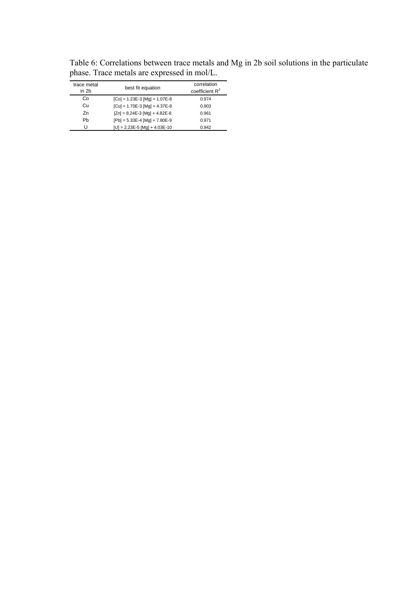| trace metal<br>in 2b | best fit equation                 | correlation<br>coefficient $R^2$ |
|----------------------|-----------------------------------|----------------------------------|
| Co                   | $[Co] = 1.23E-3$ $[Ma] + 1.07E-8$ | 0.974                            |
| Cu                   | $[Cu] = 1.70E-3$ $[Mq] + 4.37E-8$ | 0.903                            |
| Zn                   | $[Zn] = 8.24E-3$ [Mg] + 4.82E-8   | 0.961                            |
| Pb                   | $[Pb] = 5.33E-4$ $[Mq] + 7.80E-9$ | 0.971                            |
| U                    | $[U] = 2.23E-5$ [Mg] + 4.03E-10   | 0.942                            |

Table 6: Correlations between trace metals and Mg in 2b soil solutions in the particulate phase. Trace metals are expressed in mol/L.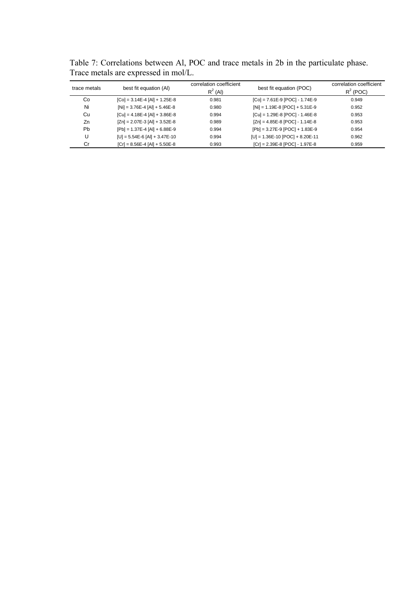Table 7: Correlations between Al, POC and trace metals in 2b in the particulate phase. Trace metals are expressed in mol/L.

| trace metals | best fit equation (AI)            | correlation coefficient<br>$R^2$ (Al) | best fit equation (POC)            | correlation coefficient<br>$R^2$ (POC) |
|--------------|-----------------------------------|---------------------------------------|------------------------------------|----------------------------------------|
| Co           | $[Co] = 3.14E-4 [Al] + 1.25E-8$   | 0.981                                 | $[Co] = 7.61E-9$ $[POC] - 1.74E-9$ | 0.949                                  |
| Ni           | $[Ni] = 3.76E-4 [Al] + 5.46E-8$   | 0.980                                 | $[Ni] = 1.19E-8$ $[POC] + 5.31E-9$ | 0.952                                  |
| Cu           | $[Cu] = 4.18E-4 [Al] + 3.86E-8$   | 0.994                                 | $[Cu] = 1.29E-8$ $[POC] - 1.46E-8$ | 0.953                                  |
| Zn           | $[Zn] = 2.07E-3$ $[Al] + 3.52E-8$ | 0.989                                 | $[Zn] = 4.85E-8$ $[POC] - 1.14E-8$ | 0.953                                  |
| <b>Pb</b>    | $[Pb] = 1.37E-4 [Al] + 6.88E-9$   | 0.994                                 | $[Pb] = 3.27E-9 [POC] + 1.83E-9$   | 0.954                                  |
|              | $[U] = 5.54E-6$ [Al] + 3.47E-10   | 0.994                                 | $[U] = 1.36E-10$ [POC] + 8.20E-11  | 0.962                                  |
| Cr           | $[Cr] = 8.56E-4 [Al] + 5.50E-8$   | 0.993                                 | $[Cr] = 2.39E-8$ $[POC] - 1.97E-8$ | 0.959                                  |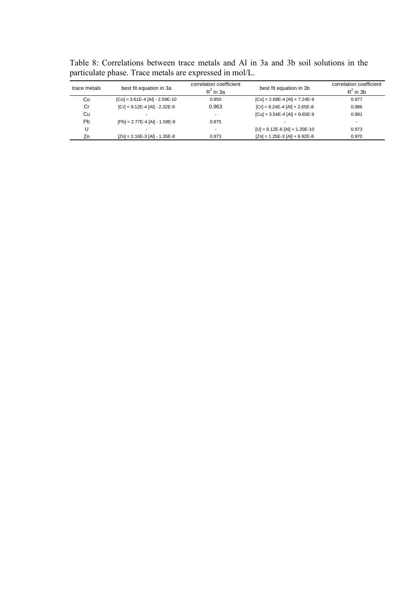| trace metals | best fit equation in 3a          | correlation coefficient<br>$R^2$ in 3a | best fit equation in 3b           | correlation coefficient<br>$R^2$ in 3b |
|--------------|----------------------------------|----------------------------------------|-----------------------------------|----------------------------------------|
| Co           | $[Co] = 3.61E-4 [Al] - 2.59E-10$ | 0.950                                  | $[Co] = 2.68E-4 [Al] + 7.24E-9$   | 0.977                                  |
| Cr           | $[Cr] = 9.12E-4 [Al] - 2.32E-9$  | 0.963                                  | $[Cr] = 8.24E-4 [Al] + 2.65E-8$   | 0.986                                  |
| Cu           |                                  | ٠                                      | $[Cu] = 3.54E-4 [Al] + 9.65E-9$   | 0.991                                  |
| Pb           | $[Pb] = 2.77E-4 [Al] - 1.59E-9$  | 0.875                                  |                                   | $\sim$                                 |
|              |                                  | $\overline{\phantom{a}}$               | $[U] = 8.12E-6$ [Al] + 1.20E-10   | 0.973                                  |
| Zn           | $[Zn] = 2.16E-3$ [Al] - 1.35E-8  | 0.973                                  | $[Zn] = 1.25E-3$ $[Al] + 6.92E-8$ | 0.970                                  |
|              |                                  |                                        |                                   |                                        |

Table 8: Correlations between trace metals and Al in 3a and 3b soil solutions in the particulate phase. Trace metals are expressed in mol/L.